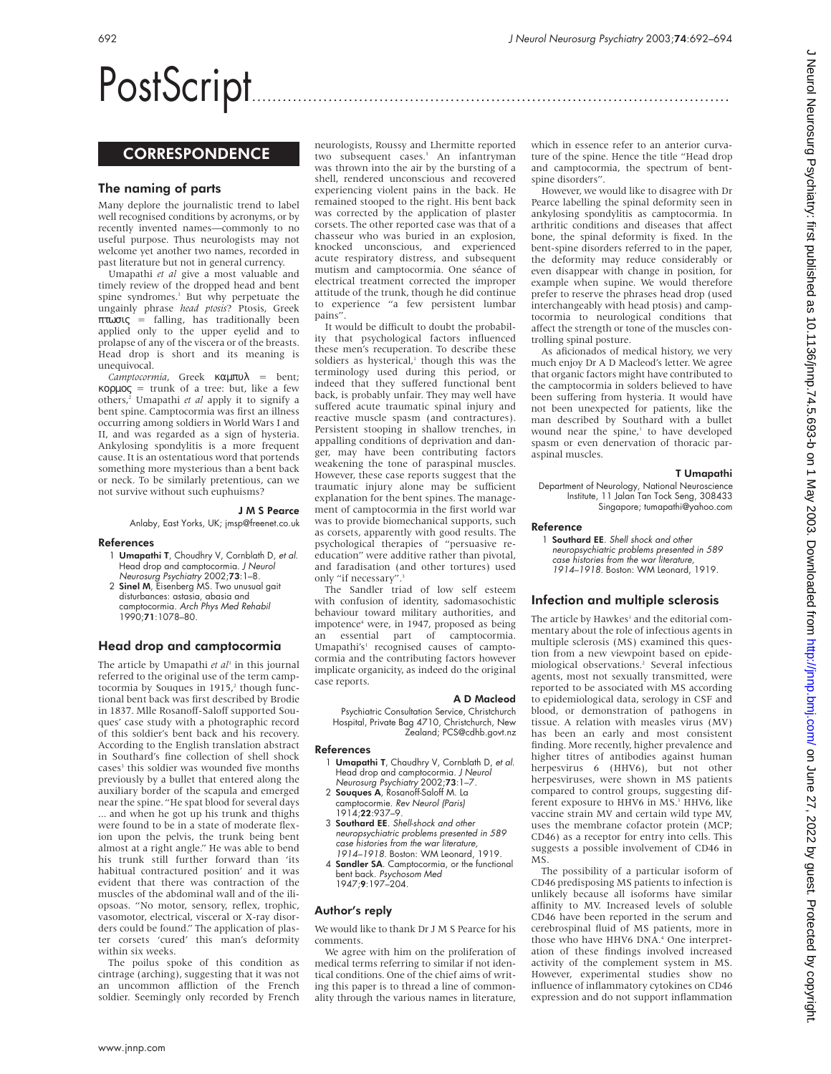# PostScript..............................................................................................

# **CORRESPONDENCE**

# The naming of parts

Many deplore the journalistic trend to label well recognised conditions by acronyms, or by recently invented names—commonly to no useful purpose. Thus neurologists may not welcome yet another two names, recorded in past literature but not in general currency.

Umapathi *et al* give a most valuable and timely review of the dropped head and bent spine syndromes.<sup>1</sup> But why perpetuate the ungainly phrase *head ptosis*? Ptosis, Greek πτωσις = falling, has traditionally been applied only to the upper eyelid and to prolapse of any of the viscera or of the breasts. Head drop is short and its meaning is unequivocal.

*Camptocormia*, Greek καµπυλ = bent; κορµος = trunk of a tree: but, like a few others,2 Umapathi *et al* apply it to signify a bent spine. Camptocormia was first an illness occurring among soldiers in World Wars I and II, and was regarded as a sign of hysteria. Ankylosing spondylitis is a more frequent cause. It is an ostentatious word that portends something more mysterious than a bent back or neck. To be similarly pretentious, can we not survive without such euphuisms?

#### J M S Pearce

Anlaby, East Yorks, UK; jmsp@freenet.co.uk

#### References

- 1 Umapathi T, Choudhry V, Cornblath D, et al. Head drop and camptocormia. J Neurol Neurosurg Psychiatry 2002;73:1–8.
- 2 Sinel M, Eisenberg MS. Two unusual gait disturbances: astasia, abasia and camptocormia. Arch Phys Med Rehabil 1990;71:1078–80.

## Head drop and camptocormia

The article by Umapathi et al<sup>1</sup> in this journal referred to the original use of the term camptocormia by Souques in  $1915$ ,<sup>2</sup> though functional bent back was first described by Brodie in 1837. Mlle Rosanoff-Saloff supported Souques' case study with a photographic record of this soldier's bent back and his recovery. According to the English translation abstract in Southard's fine collection of shell shock cases<sup>3</sup> this soldier was wounded five months previously by a bullet that entered along the auxiliary border of the scapula and emerged near the spine. "He spat blood for several days ... and when he got up his trunk and thighs were found to be in a state of moderate flexion upon the pelvis, the trunk being bent almost at a right angle." He was able to bend his trunk still further forward than 'its habitual contractured position' and it was evident that there was contraction of the muscles of the abdominal wall and of the iliopsoas. "No motor, sensory, reflex, trophic, vasomotor, electrical, visceral or X-ray disorders could be found." The application of plaster corsets 'cured' this man's deformity within six weeks.

The poilus spoke of this condition as cintrage (arching), suggesting that it was not an uncommon affliction of the French soldier. Seemingly only recorded by French

neurologists, Roussy and Lhermitte reported two subsequent cases.<sup>3</sup> An infantryman was thrown into the air by the bursting of a shell, rendered unconscious and recovered experiencing violent pains in the back. He remained stooped to the right. His bent back was corrected by the application of plaster corsets. The other reported case was that of a chasseur who was buried in an explosion, knocked unconscious, and experienced acute respiratory distress, and subsequent mutism and camptocormia. One séance of electrical treatment corrected the improper attitude of the trunk, though he did continue to experience "a few persistent lumbar pains".

It would be difficult to doubt the probability that psychological factors influenced these men's recuperation. To describe these soldiers as hysterical,<sup>1</sup> though this was the terminology used during this period, or indeed that they suffered functional bent back, is probably unfair. They may well have suffered acute traumatic spinal injury and reactive muscle spasm (and contractures). Persistent stooping in shallow trenches, in appalling conditions of deprivation and danger, may have been contributing factors weakening the tone of paraspinal muscles. However, these case reports suggest that the traumatic injury alone may be sufficient explanation for the bent spines. The management of camptocormia in the first world war was to provide biomechanical supports, such as corsets, apparently with good results. The psychological therapies of "persuasive reeducation" were additive rather than pivotal, and faradisation (and other tortures) used only "if necessary".

The Sandler triad of low self esteem with confusion of identity, sadomasochistic behaviour toward military authorities, and impotence<sup>4</sup> were, in 1947, proposed as being an essential part of camptocormia. Umapathi's<sup>1</sup> recognised causes of camptocormia and the contributing factors however implicate organicity, as indeed do the original case reports.

## A D Macleod

Psychiatric Consultation Service, Christchurch Hospital, Private Bag 4710, Christchurch, New Zealand; PCS@cdhb.govt.nz

#### References

- 1 Umapathi T, Chaudhry V, Cornblath D, et al. Head drop and camptocormia. J Neurol Neurosurg Psychiatry 2002;73:1–7.
- 2 Souques A, Rosanoff-Saloff M. La camptocormie. Rev Neurol (Paris)
- 1914;**22**:937–9. 3 Southard EE. Shell-shock and other
- neuropsychiatric problems presented in 589 case histories from the war literature, 1914–1918. Boston: WM Leonard, 1919.
- 4 Sandler SA. Camptocormia, or the functional bent back. Psychosom Med 1947;9:197–204.

### Author's reply

We would like to thank Dr J M S Pearce for his comments.

We agree with him on the proliferation of medical terms referring to similar if not identical conditions. One of the chief aims of writing this paper is to thread a line of commonality through the various names in literature,

which in essence refer to an anterior curvature of the spine. Hence the title "Head drop and camptocormia, the spectrum of bentspine disorders".

However, we would like to disagree with Dr Pearce labelling the spinal deformity seen in ankylosing spondylitis as camptocormia. In arthritic conditions and diseases that affect bone, the spinal deformity is fixed. In the bent-spine disorders referred to in the paper, the deformity may reduce considerably or even disappear with change in position, for example when supine. We would therefore prefer to reserve the phrases head drop (used interchangeably with head ptosis) and camptocormia to neurological conditions that affect the strength or tone of the muscles controlling spinal posture.

As aficionados of medical history, we very much enjoy Dr A D Macleod's letter. We agree that organic factors might have contributed to the camptocormia in solders believed to have been suffering from hysteria. It would have not been unexpected for patients, like the man described by Southard with a bullet wound near the spine,<sup>1</sup> to have developed spasm or even denervation of thoracic paraspinal muscles.

#### T Umapathi

Department of Neurology, National Neuroscience Institute, 11 Jalan Tan Tock Seng, 308433 Singapore; tumapathi@yahoo.com

### Reference

1 Southard EE. Shell shock and other neuropsychiatric problems presented in 589 case histories from the war literature, 1914–1918. Boston: WM Leonard, 1919.

## Infection and multiple sclerosis

The article by Hawkes<sup>1</sup> and the editorial commentary about the role of infectious agents in multiple sclerosis (MS) examined this question from a new viewpoint based on epidemiological observations.2 Several infectious agents, most not sexually transmitted, were reported to be associated with MS according to epidemiological data, serology in CSF and blood, or demonstration of pathogens in tissue. A relation with measles virus (MV) has been an early and most consistent finding. More recently, higher prevalence and higher titres of antibodies against human herpesvirus 6 (HHV6), but not other herpesviruses, were shown in MS patients compared to control groups, suggesting different exposure to HHV6 in MS.<sup>3</sup> HHV6, like vaccine strain MV and certain wild type MV, uses the membrane cofactor protein (MCP; CD46) as a receptor for entry into cells. This suggests a possible involvement of CD46 in MS.

The possibility of a particular isoform of CD46 predisposing MS patients to infection is unlikely because all isoforms have similar affinity to MV. Increased levels of soluble CD46 have been reported in the serum and cerebrospinal fluid of MS patients, more in those who have HHV6 DNA.<sup>4</sup> One interpretation of these findings involved increased activity of the complement system in MS. However, experimental studies show no influence of inflammatory cytokines on CD46 expression and do not support inflammation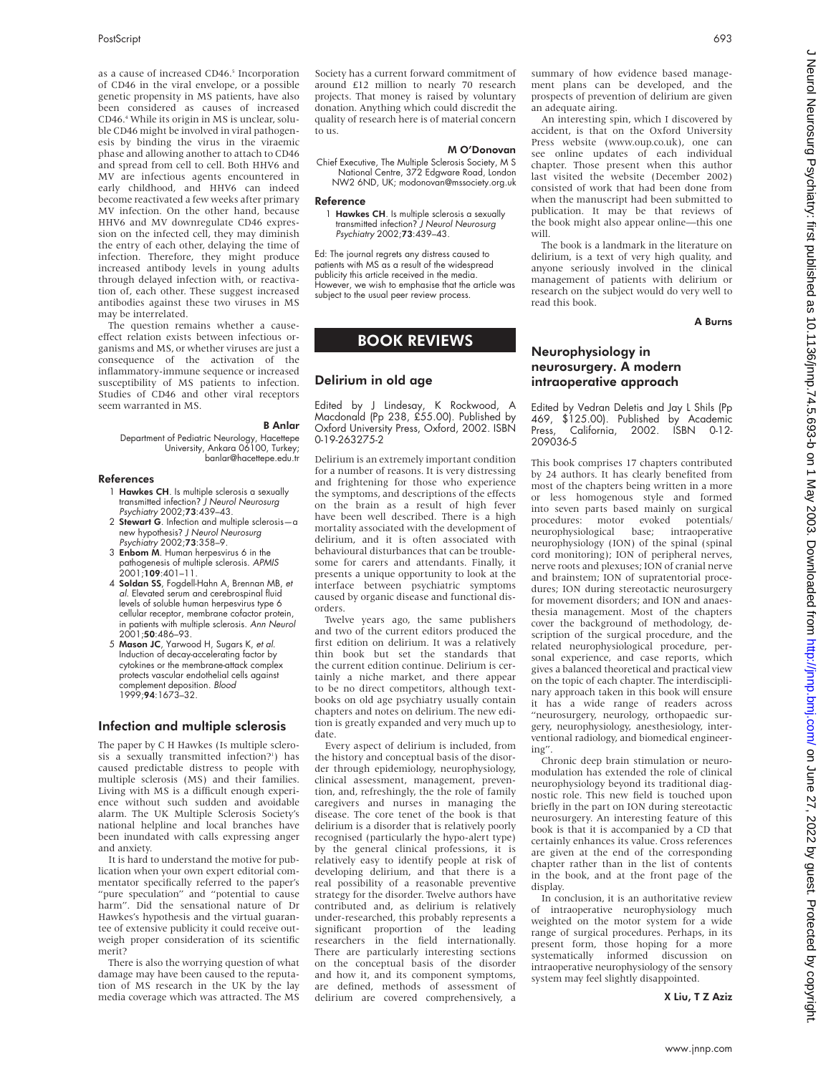as a cause of increased CD46.<sup>5</sup> Incorporation of CD46 in the viral envelope, or a possible genetic propensity in MS patients, have also been considered as causes of increased CD46.4 While its origin in MS is unclear, soluble CD46 might be involved in viral pathogenesis by binding the virus in the viraemic phase and allowing another to attach to CD46 and spread from cell to cell. Both HHV6 and MV are infectious agents encountered in early childhood, and HHV6 can indeed become reactivated a few weeks after primary MV infection. On the other hand, because HHV6 and MV downregulate CD46 expression on the infected cell, they may diminish the entry of each other, delaying the time of infection. Therefore, they might produce increased antibody levels in young adults through delayed infection with, or reactivation of, each other. These suggest increased antibodies against these two viruses in MS may be interrelated.

The question remains whether a causeeffect relation exists between infectious organisms and MS, or whether viruses are just a consequence of the activation of the inflammatory-immune sequence or increased susceptibility of MS patients to infection. Studies of CD46 and other viral receptors seem warranted in MS.

B Anlar

Department of Pediatric Neurology, Hacettepe University, Ankara 06100, Turkey; banlar@hacettepe.edu.tr

#### References

- 1 **Hawkes CH**. Is multiple sclerosis a sexually transmitted infection? J Neurol Neurosurg Psychiatry 2002;73:439–43.
- 2 Stewart G. Infection and multiple sclerosis—a new hypothesis? J Neurol Neurosurg Psychiatry 2002;73:358–9.
- 3 Enbom M. Human herpesvirus 6 in the pathogenesis of multiple sclerosis. APMIS  $2001$ ;109:401–11.
- 4 Soldan SS, Fogdell-Hahn A, Brennan MB, et al. Elevated serum and cerebrospinal fluid levels of soluble human herpesvirus type 6 cellular receptor, membrane cofactor protein, in patients with multiple sclerosis. Ann Neurol 2001;50:486–93.
- 5 Mason JC, Yarwood H, Sugars K, et al. Induction of decay-accelerating factor by cytokines or the membrane-attack complex protects vascular endothelial cells against complement deposition. Blood 1999;94:1673–32.

## Infection and multiple sclerosis

The paper by C H Hawkes (Is multiple sclerosis a sexually transmitted infection?<sup>1</sup>) has caused predictable distress to people with multiple sclerosis (MS) and their families. Living with MS is a difficult enough experience without such sudden and avoidable alarm. The UK Multiple Sclerosis Society's national helpline and local branches have been inundated with calls expressing anger and anxiety.

It is hard to understand the motive for publication when your own expert editorial commentator specifically referred to the paper's "pure speculation" and "potential to cause harm". Did the sensational nature of Dr Hawkes's hypothesis and the virtual guarantee of extensive publicity it could receive outweigh proper consideration of its scientific merit?

There is also the worrying question of what damage may have been caused to the reputation of MS research in the UK by the lay media coverage which was attracted. The MS Society has a current forward commitment of around £12 million to nearly 70 research projects. That money is raised by voluntary donation. Anything which could discredit the quality of research here is of material concern to us.

## M O'Donovan

Chief Executive, The Multiple Sclerosis Society, M S National Centre, 372 Edgware Road, London NW2 6ND, UK; modonovan@mssociety.org.uk

#### Reference

1 Hawkes CH. Is multiple sclerosis a sexually transmitted infection? J Neurol Neurosurg Psychiatry 2002;73:439–43.

Ed: The journal regrets any distress caused to patients with MS as a result of the widespread publicity this article received in the media. However, we wish to emphasise that the article was subject to the usual peer review process.

## BOOK REVIEWS

## Delirium in old age

Edited by J Lindesay, K Rockwood, A Macdonald (Pp 238, £55.00). Published by Oxford University Press, Oxford, 2002. ISBN 0-19-263275-2

Delirium is an extremely important condition for a number of reasons. It is very distressing and frightening for those who experience the symptoms, and descriptions of the effects on the brain as a result of high fever have been well described. There is a high mortality associated with the development of delirium, and it is often associated with behavioural disturbances that can be troublesome for carers and attendants. Finally, it presents a unique opportunity to look at the interface between psychiatric symptoms caused by organic disease and functional disorders.

Twelve years ago, the same publishers and two of the current editors produced the first edition on delirium. It was a relatively thin book but set the standards that the current edition continue. Delirium is certainly a niche market, and there appear to be no direct competitors, although textbooks on old age psychiatry usually contain chapters and notes on delirium. The new edition is greatly expanded and very much up to date.

Every aspect of delirium is included, from the history and conceptual basis of the disorder through epidemiology, neurophysiology, clinical assessment, management, prevention, and, refreshingly, the the role of family caregivers and nurses in managing the disease. The core tenet of the book is that delirium is a disorder that is relatively poorly recognised (particularly the hypo-alert type) by the general clinical professions, it is relatively easy to identify people at risk of developing delirium, and that there is a real possibility of a reasonable preventive strategy for the disorder. Twelve authors have contributed and, as delirium is relatively under-researched, this probably represents a significant proportion of the leading researchers in the field internationally. There are particularly interesting sections on the conceptual basis of the disorder and how it, and its component symptoms, are defined, methods of assessment of delirium are covered comprehensively, a summary of how evidence based management plans can be developed, and the prospects of prevention of delirium are given an adequate airing.

An interesting spin, which I discovered by accident, is that on the Oxford University Press website (www.oup.co.uk), one can see online updates of each individual chapter. Those present when this author last visited the website (December 2002) consisted of work that had been done from when the manuscript had been submitted to publication. It may be that reviews of the book might also appear online—this one will.

The book is a landmark in the literature on delirium, is a text of very high quality, and anyone seriously involved in the clinical management of patients with delirium or research on the subject would do very well to read this book.

A Burns

## Neurophysiology in neurosurgery. A modern intraoperative approach

Edited by Vedran Deletis and Jay L Shils (Pp 469, \$125.00). Published by Academic California, 2002. ISBN 0-12-209036-5

This book comprises 17 chapters contributed by 24 authors. It has clearly benefited from most of the chapters being written in a more or less homogenous style and formed into seven parts based mainly on surgical procedures: motor evoked potentials/<br>
neurophysiological base: intraoperative neurophysiological base; neurophysiology (ION) of the spinal (spinal cord monitoring); ION of peripheral nerves, nerve roots and plexuses; ION of cranial nerve and brainstem; ION of supratentorial procedures; ION during stereotactic neurosurgery for movement disorders; and ION and anaesthesia management. Most of the chapters cover the background of methodology, description of the surgical procedure, and the related neurophysiological procedure, personal experience, and case reports, which gives a balanced theoretical and practical view on the topic of each chapter. The interdisciplinary approach taken in this book will ensure it has a wide range of readers across "neurosurgery, neurology, orthopaedic surgery, neurophysiology, anesthesiology, interventional radiology, and biomedical engineering".

Chronic deep brain stimulation or neuromodulation has extended the role of clinical neurophysiology beyond its traditional diagnostic role. This new field is touched upon briefly in the part on ION during stereotactic neurosurgery. An interesting feature of this book is that it is accompanied by a CD that certainly enhances its value. Cross references are given at the end of the corresponding chapter rather than in the list of contents in the book, and at the front page of the display.

In conclusion, it is an authoritative review of intraoperative neurophysiology much weighted on the motor system for a wide range of surgical procedures. Perhaps, in its present form, those hoping for a more systematically informed discussion on intraoperative neurophysiology of the sensory system may feel slightly disappointed.

X Liu, T Z Aziz